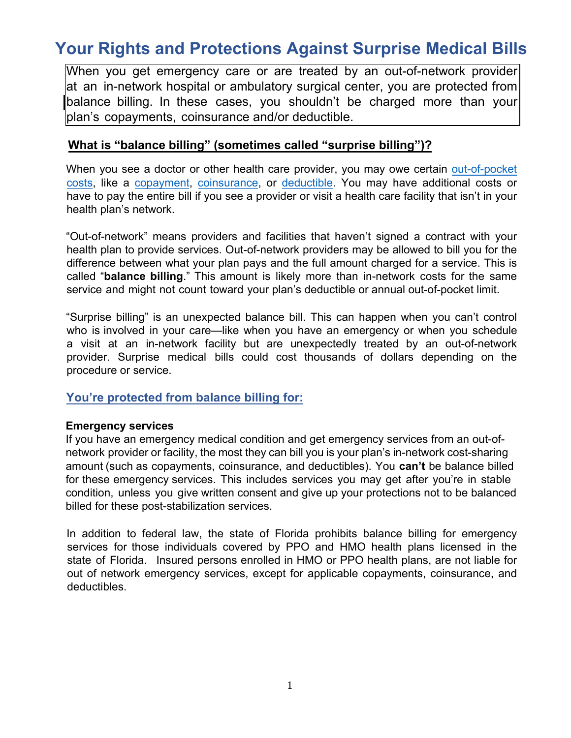# **Your Rights and Protections Against Surprise Medical Bills**

When you get emergency care or are treated by an out-of-network provider at an in-network hospital or ambulatory surgical center, you are protected from balance billing. In these cases, you shouldn't be charged more than your plan's copayments, coinsurance and/or deductible.

#### **What is "balance billing" (sometimes called "surprise billing")?**

When you see a doctor or other health care provider, you may owe certain [out-of-po](https://www.healthcare.gov/glossary/out-of-pocket-costs/)cket [costs, like](https://www.healthcare.gov/glossary/co-payment/) a copayment, [coinsurance,](https://www.healthcare.gov/glossary/co-insurance/) or [deductible.](https://www.healthcare.gov/glossary/co-insurance/) You may have additional costs or have to pay the entire bill if you see a provider or visit a health care facility that isn't in your health plan's network.

"Out-of-network" means providers and facilities that haven't signed a contract with your health plan to provide services. Out-of-network providers may be allowed to bill you for the difference between what your plan pays and the full amount charged for a service. This is called "**balance billing**." This amount is likely more than in-network costs for the same service and might not count toward your plan's deductible or annual out-of-pocket limit.

"Surprise billing" is an unexpected balance bill. This can happen when you can't control who is involved in your care—like when you have an emergency or when you schedule a visit at an in-network facility but are unexpectedly treated by an out-of-network provider. Surprise medical bills could cost thousands of dollars depending on the procedure or service.

#### **You're protected from balance billing for:**

#### **Emergency services**

If you have an emergency medical condition and get emergency services from an out-ofnetwork provider or facility, the most they can bill you is your plan's in-network cost-sharing amount (such as copayments, coinsurance, and deductibles). You **can't** be balance billed for these emergency services. This includes services you may get after you're in stable condition, unless you give written consent and give up your protections not to be balanced billed for these post-stabilization services.

In addition to federal law, the state of Florida prohibits balance billing for emergency services for those individuals covered by PPO and HMO health plans licensed in the state of Florida. Insured persons enrolled in HMO or PPO health plans, are not liable for out of network emergency services, except for applicable copayments, coinsurance, and deductibles.